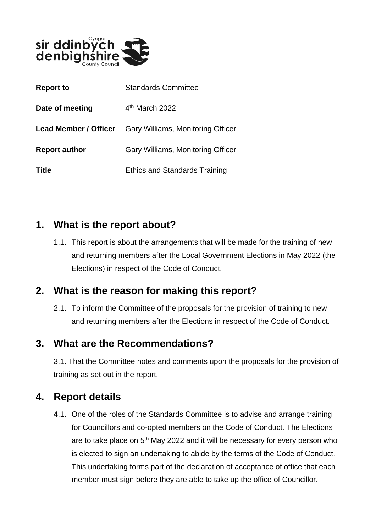

| <b>Report to</b>             | <b>Standards Committee</b>           |
|------------------------------|--------------------------------------|
| Date of meeting              | $4th$ March 2022                     |
| <b>Lead Member / Officer</b> | Gary Williams, Monitoring Officer    |
| <b>Report author</b>         | Gary Williams, Monitoring Officer    |
| <b>Title</b>                 | <b>Ethics and Standards Training</b> |

#### **1. What is the report about?**

1.1. This report is about the arrangements that will be made for the training of new and returning members after the Local Government Elections in May 2022 (the Elections) in respect of the Code of Conduct.

## **2. What is the reason for making this report?**

2.1. To inform the Committee of the proposals for the provision of training to new and returning members after the Elections in respect of the Code of Conduct.

#### **3. What are the Recommendations?**

3.1. That the Committee notes and comments upon the proposals for the provision of training as set out in the report.

## **4. Report details**

4.1. One of the roles of the Standards Committee is to advise and arrange training for Councillors and co-opted members on the Code of Conduct. The Elections are to take place on  $5<sup>th</sup>$  May 2022 and it will be necessary for every person who is elected to sign an undertaking to abide by the terms of the Code of Conduct. This undertaking forms part of the declaration of acceptance of office that each member must sign before they are able to take up the office of Councillor.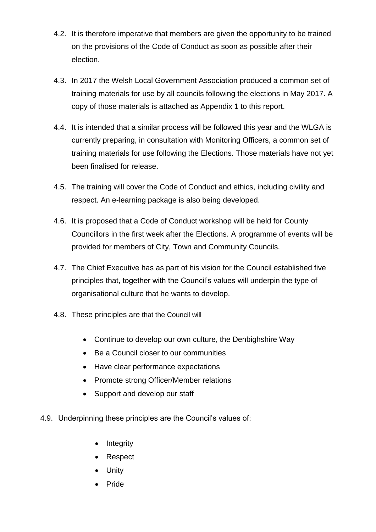- 4.2. It is therefore imperative that members are given the opportunity to be trained on the provisions of the Code of Conduct as soon as possible after their election.
- 4.3. In 2017 the Welsh Local Government Association produced a common set of training materials for use by all councils following the elections in May 2017. A copy of those materials is attached as Appendix 1 to this report.
- 4.4. It is intended that a similar process will be followed this year and the WLGA is currently preparing, in consultation with Monitoring Officers, a common set of training materials for use following the Elections. Those materials have not yet been finalised for release.
- 4.5. The training will cover the Code of Conduct and ethics, including civility and respect. An e-learning package is also being developed.
- 4.6. It is proposed that a Code of Conduct workshop will be held for County Councillors in the first week after the Elections. A programme of events will be provided for members of City, Town and Community Councils.
- 4.7. The Chief Executive has as part of his vision for the Council established five principles that, together with the Council's values will underpin the type of organisational culture that he wants to develop.
- 4.8. These principles are that the Council will
	- Continue to develop our own culture, the Denbighshire Way
	- Be a Council closer to our communities
	- Have clear performance expectations
	- Promote strong Officer/Member relations
	- Support and develop our staff
- 4.9. Underpinning these principles are the Council's values of:
	- Integrity
	- Respect
	- Unity
	- Pride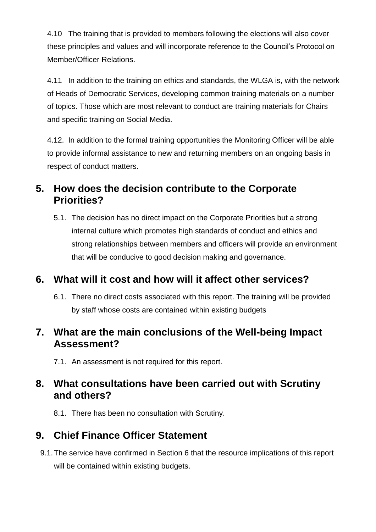4.10 The training that is provided to members following the elections will also cover these principles and values and will incorporate reference to the Council's Protocol on Member/Officer Relations.

4.11 In addition to the training on ethics and standards, the WLGA is, with the network of Heads of Democratic Services, developing common training materials on a number of topics. Those which are most relevant to conduct are training materials for Chairs and specific training on Social Media.

4.12. In addition to the formal training opportunities the Monitoring Officer will be able to provide informal assistance to new and returning members on an ongoing basis in respect of conduct matters.

## **5. How does the decision contribute to the Corporate Priorities?**

5.1. The decision has no direct impact on the Corporate Priorities but a strong internal culture which promotes high standards of conduct and ethics and strong relationships between members and officers will provide an environment that will be conducive to good decision making and governance.

## **6. What will it cost and how will it affect other services?**

6.1. There no direct costs associated with this report. The training will be provided by staff whose costs are contained within existing budgets

### **7. What are the main conclusions of the Well-being Impact Assessment?**

7.1. An assessment is not required for this report.

## **8. What consultations have been carried out with Scrutiny and others?**

8.1. There has been no consultation with Scrutiny.

# **9. Chief Finance Officer Statement**

9.1.The service have confirmed in Section 6 that the resource implications of this report will be contained within existing budgets.